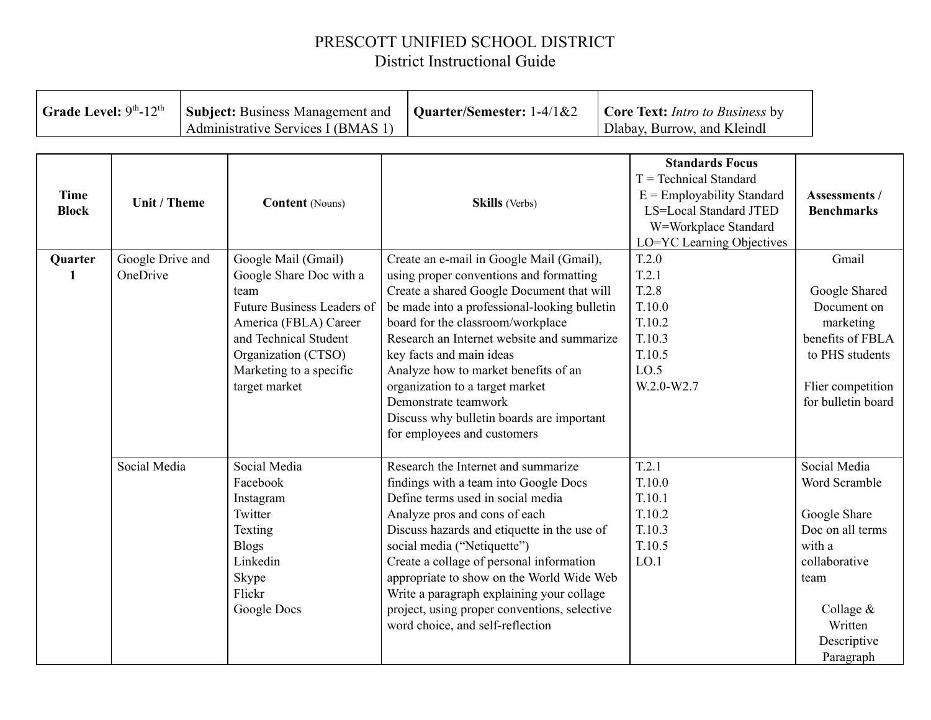## PRESCOTT UNIFIED SCHOOL DISTRICT District Instructional Guide

| Grade Level: 9 <sup>th</sup> -12 <sup>th</sup> Subject: Business Management and $\vert$ Quarter/Semester: 1-4/1&2 $\vert$ Core Text: Intro to Business by |                             |
|-----------------------------------------------------------------------------------------------------------------------------------------------------------|-----------------------------|
| Administrative Services I (BMAS 1)                                                                                                                        | Dlabay, Burrow, and Kleindl |

|                             |                     |                                   |                                              | <b>Standards Focus</b>                                 |                    |
|-----------------------------|---------------------|-----------------------------------|----------------------------------------------|--------------------------------------------------------|--------------------|
|                             |                     |                                   |                                              | $T = Technical Standard$                               | Assessments /      |
| <b>Time</b><br><b>Block</b> | <b>Unit / Theme</b> | <b>Content</b> (Nouns)            | <b>Skills</b> (Verbs)                        | $E =$ Employability Standard<br>LS=Local Standard JTED | <b>Benchmarks</b>  |
|                             |                     |                                   |                                              | W=Workplace Standard                                   |                    |
|                             |                     |                                   |                                              | LO=YC Learning Objectives                              |                    |
| Quarter                     | Google Drive and    | Google Mail (Gmail)               | Create an e-mail in Google Mail (Gmail),     | T.2.0                                                  | Gmail              |
| 1                           | OneDrive            | Google Share Doc with a           | using proper conventions and formatting      | T.2.1                                                  |                    |
|                             |                     | team                              | Create a shared Google Document that will    | T.2.8                                                  | Google Shared      |
|                             |                     | <b>Future Business Leaders of</b> | be made into a professional-looking bulletin | T.10.0                                                 | Document on        |
|                             |                     | America (FBLA) Career             | board for the classroom/workplace            | T.10.2                                                 | marketing          |
|                             |                     | and Technical Student             | Research an Internet website and summarize   | T.10.3                                                 | benefits of FBLA   |
|                             |                     | Organization (CTSO)               | key facts and main ideas                     | T.10.5                                                 | to PHS students    |
|                             |                     | Marketing to a specific           | Analyze how to market benefits of an         | LO.5                                                   |                    |
|                             |                     | target market                     | organization to a target market              | $W.2.0-W2.7$                                           | Flier competition  |
|                             |                     |                                   | Demonstrate teamwork                         |                                                        | for bulletin board |
|                             |                     |                                   | Discuss why bulletin boards are important    |                                                        |                    |
|                             |                     |                                   | for employees and customers                  |                                                        |                    |
|                             | Social Media        | Social Media                      | Research the Internet and summarize          | T.2.1                                                  | Social Media       |
|                             |                     | Facebook                          | findings with a team into Google Docs        | T.10.0                                                 | Word Scramble      |
|                             |                     | Instagram                         | Define terms used in social media            | T.10.1                                                 |                    |
|                             |                     | Twitter                           | Analyze pros and cons of each                | T.10.2                                                 | Google Share       |
|                             |                     | Texting                           | Discuss hazards and etiquette in the use of  | T.10.3                                                 | Doc on all terms   |
|                             |                     | <b>Blogs</b>                      | social media ("Netiquette")                  | T.10.5                                                 | with a             |
|                             |                     | Linkedin                          | Create a collage of personal information     | LO.1                                                   | collaborative      |
|                             |                     | Skype                             | appropriate to show on the World Wide Web    |                                                        | team               |
|                             |                     | Flickr                            | Write a paragraph explaining your collage    |                                                        |                    |
|                             |                     | Google Docs                       | project, using proper conventions, selective |                                                        | Collage &          |
|                             |                     |                                   | word choice, and self-reflection             |                                                        | Written            |
|                             |                     |                                   |                                              |                                                        | Descriptive        |
|                             |                     |                                   |                                              |                                                        | Paragraph          |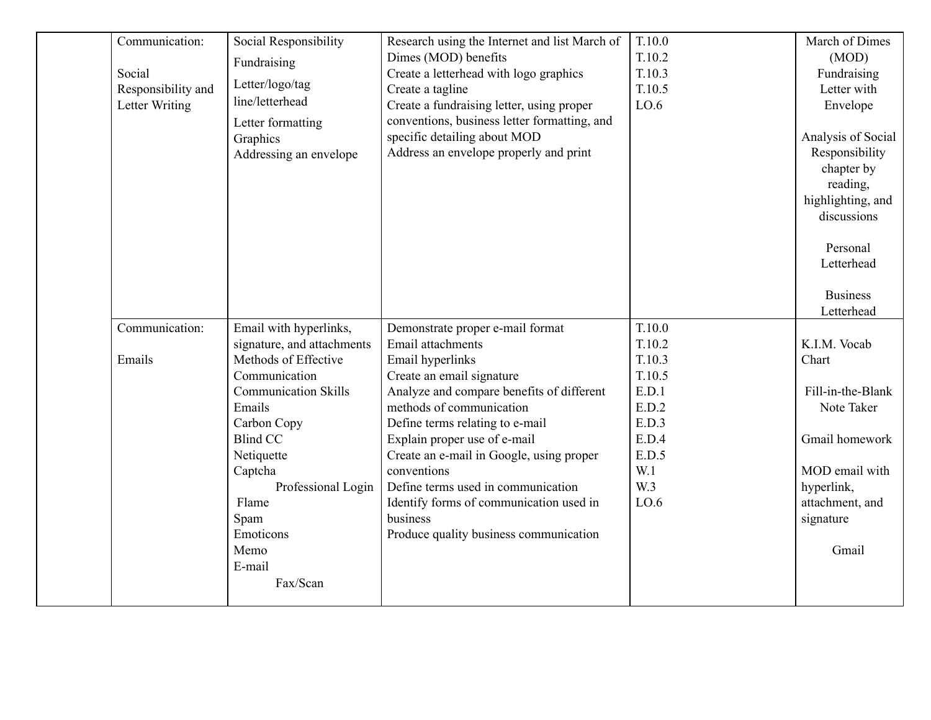| Communication:<br>Social<br>Responsibility and<br>Letter Writing | Social Responsibility<br>Fundraising<br>Letter/logo/tag<br>line/letterhead<br>Letter formatting<br>Graphics<br>Addressing an envelope | Research using the Internet and list March of<br>Dimes (MOD) benefits<br>Create a letterhead with logo graphics<br>Create a tagline<br>Create a fundraising letter, using proper<br>conventions, business letter formatting, and<br>specific detailing about MOD<br>Address an envelope properly and print | T.10.0<br>T.10.2<br>T.10.3<br>T.10.5<br>LO.6 | March of Dimes<br>(MOD)<br>Fundraising<br>Letter with<br>Envelope<br>Analysis of Social<br>Responsibility<br>chapter by<br>reading,<br>highlighting, and<br>discussions<br>Personal<br>Letterhead<br><b>Business</b> |
|------------------------------------------------------------------|---------------------------------------------------------------------------------------------------------------------------------------|------------------------------------------------------------------------------------------------------------------------------------------------------------------------------------------------------------------------------------------------------------------------------------------------------------|----------------------------------------------|----------------------------------------------------------------------------------------------------------------------------------------------------------------------------------------------------------------------|
|                                                                  |                                                                                                                                       |                                                                                                                                                                                                                                                                                                            |                                              | Letterhead                                                                                                                                                                                                           |
| Communication:                                                   | Email with hyperlinks,                                                                                                                | Demonstrate proper e-mail format                                                                                                                                                                                                                                                                           | T.10.0                                       |                                                                                                                                                                                                                      |
|                                                                  | signature, and attachments                                                                                                            | Email attachments                                                                                                                                                                                                                                                                                          | T.10.2                                       | K.I.M. Vocab                                                                                                                                                                                                         |
| Emails                                                           | Methods of Effective                                                                                                                  | Email hyperlinks                                                                                                                                                                                                                                                                                           | T.10.3                                       | Chart                                                                                                                                                                                                                |
|                                                                  | Communication                                                                                                                         | Create an email signature                                                                                                                                                                                                                                                                                  | T.10.5                                       |                                                                                                                                                                                                                      |
|                                                                  | <b>Communication Skills</b>                                                                                                           | Analyze and compare benefits of different                                                                                                                                                                                                                                                                  | E.D.1                                        | Fill-in-the-Blank                                                                                                                                                                                                    |
|                                                                  | Emails                                                                                                                                | methods of communication                                                                                                                                                                                                                                                                                   | E.D.2                                        | Note Taker                                                                                                                                                                                                           |
|                                                                  | Carbon Copy                                                                                                                           | Define terms relating to e-mail                                                                                                                                                                                                                                                                            | E.D.3                                        |                                                                                                                                                                                                                      |
|                                                                  | <b>Blind CC</b>                                                                                                                       | Explain proper use of e-mail                                                                                                                                                                                                                                                                               | E.D.4                                        | Gmail homework                                                                                                                                                                                                       |
|                                                                  | Netiquette                                                                                                                            | Create an e-mail in Google, using proper                                                                                                                                                                                                                                                                   | E.D.5                                        |                                                                                                                                                                                                                      |
|                                                                  | Captcha                                                                                                                               | conventions                                                                                                                                                                                                                                                                                                | W.1                                          | MOD email with                                                                                                                                                                                                       |
|                                                                  | Professional Login                                                                                                                    | Define terms used in communication                                                                                                                                                                                                                                                                         | W.3                                          | hyperlink,                                                                                                                                                                                                           |
|                                                                  | Flame                                                                                                                                 | Identify forms of communication used in                                                                                                                                                                                                                                                                    | LO.6                                         | attachment, and                                                                                                                                                                                                      |
|                                                                  | Spam                                                                                                                                  | business                                                                                                                                                                                                                                                                                                   |                                              | signature                                                                                                                                                                                                            |
|                                                                  | Emoticons                                                                                                                             | Produce quality business communication                                                                                                                                                                                                                                                                     |                                              |                                                                                                                                                                                                                      |
|                                                                  | Memo                                                                                                                                  |                                                                                                                                                                                                                                                                                                            |                                              | Gmail                                                                                                                                                                                                                |
|                                                                  | E-mail                                                                                                                                |                                                                                                                                                                                                                                                                                                            |                                              |                                                                                                                                                                                                                      |
|                                                                  | Fax/Scan                                                                                                                              |                                                                                                                                                                                                                                                                                                            |                                              |                                                                                                                                                                                                                      |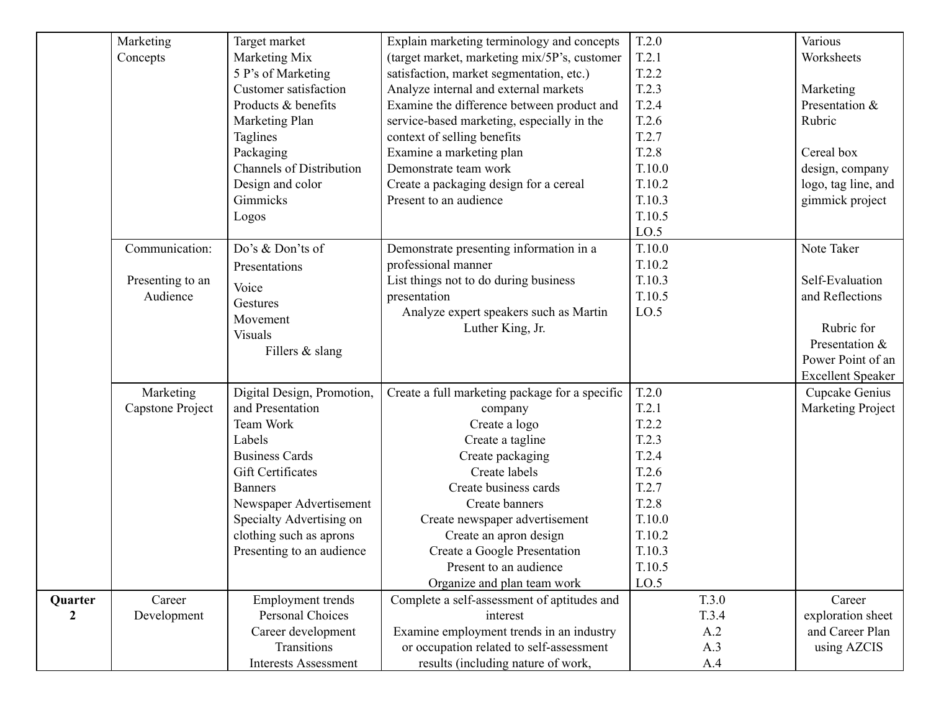|                  | Marketing        | Target market                   | Explain marketing terminology and concepts     | T.2.0  | Various                  |
|------------------|------------------|---------------------------------|------------------------------------------------|--------|--------------------------|
|                  | Concepts         | Marketing Mix                   | (target market, marketing mix/5P's, customer   | T.2.1  | Worksheets               |
|                  |                  | 5 P's of Marketing              | satisfaction, market segmentation, etc.)       | T.2.2  |                          |
|                  |                  | Customer satisfaction           | Analyze internal and external markets          | T.2.3  | Marketing                |
|                  |                  | Products & benefits             | Examine the difference between product and     | T.2.4  | Presentation &           |
|                  |                  | Marketing Plan                  | service-based marketing, especially in the     | T.2.6  | Rubric                   |
|                  |                  | Taglines                        | context of selling benefits                    | T.2.7  |                          |
|                  |                  | Packaging                       | Examine a marketing plan                       | T.2.8  | Cereal box               |
|                  |                  | <b>Channels of Distribution</b> | Demonstrate team work                          | T.10.0 | design, company          |
|                  |                  | Design and color                | Create a packaging design for a cereal         | T.10.2 | logo, tag line, and      |
|                  |                  | Gimmicks                        | Present to an audience                         | T.10.3 | gimmick project          |
|                  |                  | Logos                           |                                                | T.10.5 |                          |
|                  |                  |                                 |                                                | LO.5   |                          |
|                  | Communication:   | Do's & Don'ts of                | Demonstrate presenting information in a        | T.10.0 | Note Taker               |
|                  |                  | Presentations                   | professional manner                            | T.10.2 |                          |
|                  | Presenting to an | Voice                           | List things not to do during business          | T.10.3 | Self-Evaluation          |
|                  | Audience         | Gestures                        | presentation                                   | T.10.5 | and Reflections          |
|                  |                  | Movement                        | Analyze expert speakers such as Martin         | LO.5   |                          |
|                  |                  | <b>Visuals</b>                  | Luther King, Jr.                               |        | Rubric for               |
|                  |                  | Fillers & slang                 |                                                |        | Presentation &           |
|                  |                  |                                 |                                                |        | Power Point of an        |
|                  |                  |                                 |                                                |        | <b>Excellent Speaker</b> |
|                  | Marketing        | Digital Design, Promotion,      | Create a full marketing package for a specific | T.2.0  | Cupcake Genius           |
|                  | Capstone Project | and Presentation                | company                                        | T.2.1  | Marketing Project        |
|                  |                  | Team Work                       | Create a logo                                  | T.2.2  |                          |
|                  |                  | Labels                          | Create a tagline                               | T.2.3  |                          |
|                  |                  | <b>Business Cards</b>           | Create packaging                               | T.2.4  |                          |
|                  |                  | <b>Gift Certificates</b>        | Create labels                                  | T.2.6  |                          |
|                  |                  | <b>Banners</b>                  | Create business cards                          | T.2.7  |                          |
|                  |                  | Newspaper Advertisement         | Create banners                                 | T.2.8  |                          |
|                  |                  | Specialty Advertising on        | Create newspaper advertisement                 | T.10.0 |                          |
|                  |                  | clothing such as aprons         | Create an apron design                         | T.10.2 |                          |
|                  |                  | Presenting to an audience       | Create a Google Presentation                   | T.10.3 |                          |
|                  |                  |                                 | Present to an audience                         | T.10.5 |                          |
|                  |                  |                                 | Organize and plan team work                    | LO.5   |                          |
| Quarter          | Career           | <b>Employment</b> trends        | Complete a self-assessment of aptitudes and    | T.3.0  | Career                   |
| $\boldsymbol{2}$ | Development      | Personal Choices                | interest                                       | T.3.4  | exploration sheet        |
|                  |                  | Career development              | Examine employment trends in an industry       | A.2    | and Career Plan          |
|                  |                  | Transitions                     | or occupation related to self-assessment       | A.3    | using AZCIS              |
|                  |                  | <b>Interests Assessment</b>     | results (including nature of work,             | A.4    |                          |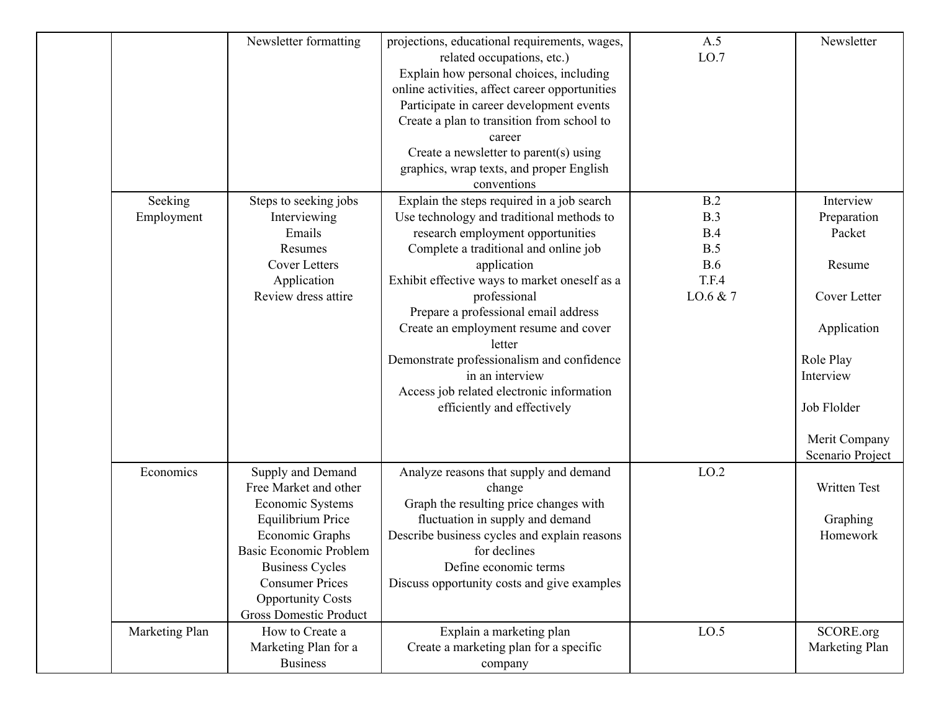|                | Newsletter formatting         | projections, educational requirements, wages,  | A.5          | Newsletter       |
|----------------|-------------------------------|------------------------------------------------|--------------|------------------|
|                |                               | related occupations, etc.)                     | LO.7         |                  |
|                |                               | Explain how personal choices, including        |              |                  |
|                |                               | online activities, affect career opportunities |              |                  |
|                |                               | Participate in career development events       |              |                  |
|                |                               | Create a plan to transition from school to     |              |                  |
|                |                               |                                                |              |                  |
|                |                               | career                                         |              |                  |
|                |                               | Create a newsletter to parent(s) using         |              |                  |
|                |                               | graphics, wrap texts, and proper English       |              |                  |
|                |                               | conventions                                    |              |                  |
| Seeking        | Steps to seeking jobs         | Explain the steps required in a job search     | B.2          | Interview        |
| Employment     | Interviewing                  | Use technology and traditional methods to      | B.3          | Preparation      |
|                | Emails                        | research employment opportunities              | B.4          | Packet           |
|                | Resumes                       | Complete a traditional and online job          | B.5          |                  |
|                | <b>Cover Letters</b>          | application                                    | <b>B.6</b>   | Resume           |
|                | Application                   | Exhibit effective ways to market oneself as a  | <b>T.F.4</b> |                  |
|                | Review dress attire           | professional                                   | LO.6 $& 7$   | Cover Letter     |
|                |                               | Prepare a professional email address           |              |                  |
|                |                               | Create an employment resume and cover          |              | Application      |
|                |                               | letter                                         |              |                  |
|                |                               | Demonstrate professionalism and confidence     |              | Role Play        |
|                |                               | in an interview                                |              | Interview        |
|                |                               | Access job related electronic information      |              |                  |
|                |                               | efficiently and effectively                    |              | Job Flolder      |
|                |                               |                                                |              | Merit Company    |
|                |                               |                                                |              | Scenario Project |
| Economics      | Supply and Demand             | Analyze reasons that supply and demand         | LO.2         |                  |
|                | Free Market and other         | change                                         |              | Written Test     |
|                | Economic Systems              | Graph the resulting price changes with         |              |                  |
|                | <b>Equilibrium Price</b>      | fluctuation in supply and demand               |              | Graphing         |
|                | Economic Graphs               | Describe business cycles and explain reasons   |              | Homework         |
|                | Basic Economic Problem        | for declines                                   |              |                  |
|                | <b>Business Cycles</b>        | Define economic terms                          |              |                  |
|                | <b>Consumer Prices</b>        | Discuss opportunity costs and give examples    |              |                  |
|                | <b>Opportunity Costs</b>      |                                                |              |                  |
|                | <b>Gross Domestic Product</b> |                                                |              |                  |
| Marketing Plan | How to Create a               | Explain a marketing plan                       | LO.5         | SCORE.org        |
|                | Marketing Plan for a          | Create a marketing plan for a specific         |              | Marketing Plan   |
|                | <b>Business</b>               | company                                        |              |                  |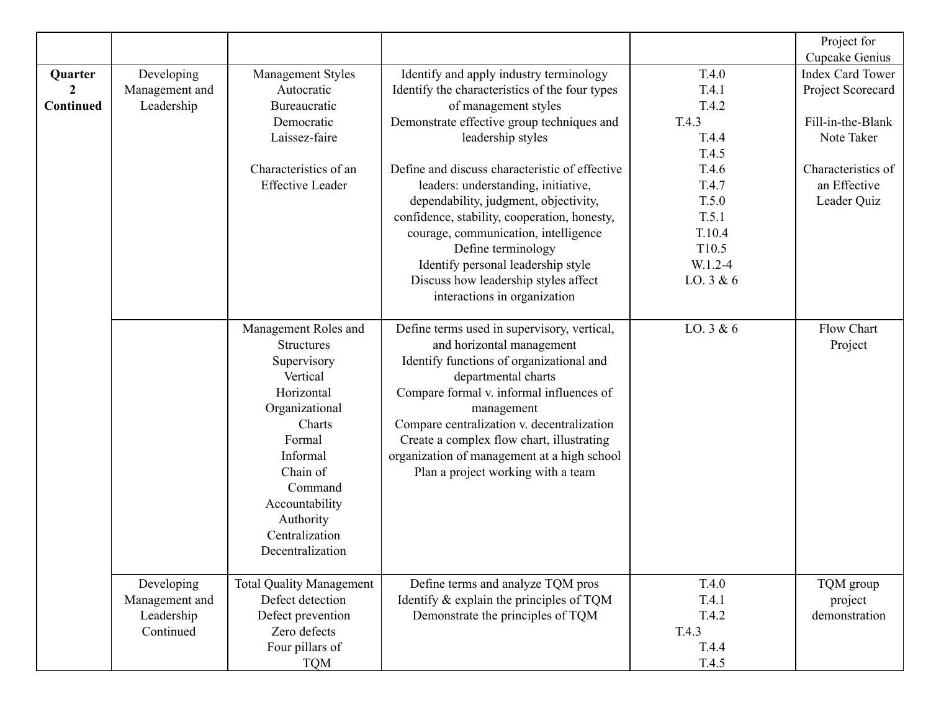|                                        |                                                         |                                                                                                                                                                                                                                  |                                                                                                                                                                                                                                                                                                                                                                                                                                                                                                                                                    |                                                                                                                                     | Project for                                                                                                                                            |
|----------------------------------------|---------------------------------------------------------|----------------------------------------------------------------------------------------------------------------------------------------------------------------------------------------------------------------------------------|----------------------------------------------------------------------------------------------------------------------------------------------------------------------------------------------------------------------------------------------------------------------------------------------------------------------------------------------------------------------------------------------------------------------------------------------------------------------------------------------------------------------------------------------------|-------------------------------------------------------------------------------------------------------------------------------------|--------------------------------------------------------------------------------------------------------------------------------------------------------|
| Quarter<br>$\mathfrak{D}$<br>Continued | Developing<br>Management and<br>Leadership              | Management Styles<br>Autocratic<br>Bureaucratic<br>Democratic<br>Laissez-faire<br>Characteristics of an<br><b>Effective Leader</b>                                                                                               | Identify and apply industry terminology<br>Identify the characteristics of the four types<br>of management styles<br>Demonstrate effective group techniques and<br>leadership styles<br>Define and discuss characteristic of effective<br>leaders: understanding, initiative,<br>dependability, judgment, objectivity,<br>confidence, stability, cooperation, honesty,<br>courage, communication, intelligence<br>Define terminology<br>Identify personal leadership style<br>Discuss how leadership styles affect<br>interactions in organization | T.4.0<br>T.4.1<br>T.4.2<br>T.4.3<br>T.4.4<br>T.4.5<br>T.4.6<br>T.4.7<br>T.5.0<br>T.5.1<br>T.10.4<br>T10.5<br>W.1.2-4<br>LO. $3 & 6$ | Cupcake Genius<br><b>Index Card Tower</b><br>Project Scorecard<br>Fill-in-the-Blank<br>Note Taker<br>Characteristics of<br>an Effective<br>Leader Quiz |
|                                        |                                                         | Management Roles and<br><b>Structures</b><br>Supervisory<br>Vertical<br>Horizontal<br>Organizational<br>Charts<br>Formal<br>Informal<br>Chain of<br>Command<br>Accountability<br>Authority<br>Centralization<br>Decentralization | Define terms used in supervisory, vertical,<br>and horizontal management<br>Identify functions of organizational and<br>departmental charts<br>Compare formal v. informal influences of<br>management<br>Compare centralization v. decentralization<br>Create a complex flow chart, illustrating<br>organization of management at a high school<br>Plan a project working with a team                                                                                                                                                              | LO. $3 & 6$                                                                                                                         | Flow Chart<br>Project                                                                                                                                  |
|                                        | Developing<br>Management and<br>Leadership<br>Continued | <b>Total Quality Management</b><br>Defect detection<br>Defect prevention<br>Zero defects<br>Four pillars of<br><b>TQM</b>                                                                                                        | Define terms and analyze TQM pros<br>Identify & explain the principles of TQM<br>Demonstrate the principles of TQM                                                                                                                                                                                                                                                                                                                                                                                                                                 | T.4.0<br>T.4.1<br>T.4.2<br>T.4.3<br>T.4.4<br>T.4.5                                                                                  | TQM group<br>project<br>demonstration                                                                                                                  |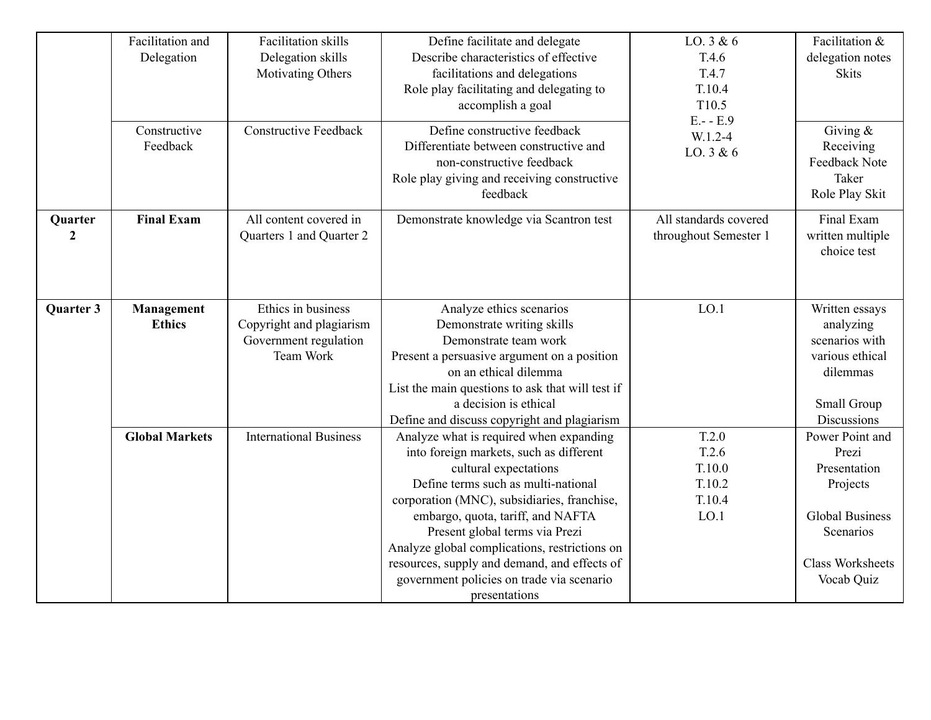|                | Facilitation and      | Facilitation skills           | Define facilitate and delegate                   | LO. $3 & 6$           | Facilitation &          |
|----------------|-----------------------|-------------------------------|--------------------------------------------------|-----------------------|-------------------------|
|                | Delegation            | Delegation skills             | Describe characteristics of effective            | T.4.6                 | delegation notes        |
|                |                       | Motivating Others             | facilitations and delegations                    | T.4.7                 | <b>Skits</b>            |
|                |                       |                               | Role play facilitating and delegating to         | T.10.4                |                         |
|                |                       |                               | accomplish a goal                                | T10.5                 |                         |
|                |                       | <b>Constructive Feedback</b>  | Define constructive feedback                     | $E. - E.9$            |                         |
|                | Constructive          |                               |                                                  | W.1.2-4               | Giving $\&$             |
|                | Feedback              |                               | Differentiate between constructive and           | LO. 3 & 6             | Receiving               |
|                |                       |                               | non-constructive feedback                        |                       | Feedback Note           |
|                |                       |                               | Role play giving and receiving constructive      |                       | Taker                   |
|                |                       |                               | feedback                                         |                       | Role Play Skit          |
| Quarter        | <b>Final Exam</b>     | All content covered in        | Demonstrate knowledge via Scantron test          | All standards covered | Final Exam              |
| $\overline{2}$ |                       | Quarters 1 and Quarter 2      |                                                  | throughout Semester 1 | written multiple        |
|                |                       |                               |                                                  |                       | choice test             |
|                |                       |                               |                                                  |                       |                         |
|                |                       |                               |                                                  |                       |                         |
| Quarter 3      | Management            | Ethics in business            | Analyze ethics scenarios                         | LO.1                  | Written essays          |
|                | <b>Ethics</b>         | Copyright and plagiarism      | Demonstrate writing skills                       |                       | analyzing               |
|                |                       | Government regulation         | Demonstrate team work                            |                       | scenarios with          |
|                |                       | Team Work                     | Present a persuasive argument on a position      |                       | various ethical         |
|                |                       |                               | on an ethical dilemma                            |                       | dilemmas                |
|                |                       |                               | List the main questions to ask that will test if |                       |                         |
|                |                       |                               | a decision is ethical                            |                       | Small Group             |
|                |                       |                               | Define and discuss copyright and plagiarism      |                       | <b>Discussions</b>      |
|                | <b>Global Markets</b> | <b>International Business</b> |                                                  | T.2.0                 | Power Point and         |
|                |                       |                               | Analyze what is required when expanding          |                       | Prezi                   |
|                |                       |                               | into foreign markets, such as different          | T.2.6                 |                         |
|                |                       |                               | cultural expectations                            | T.10.0                | Presentation            |
|                |                       |                               | Define terms such as multi-national              | T.10.2                | Projects                |
|                |                       |                               | corporation (MNC), subsidiaries, franchise,      | T.10.4                |                         |
|                |                       |                               | embargo, quota, tariff, and NAFTA                | LO.1                  | <b>Global Business</b>  |
|                |                       |                               | Present global terms via Prezi                   |                       | Scenarios               |
|                |                       |                               | Analyze global complications, restrictions on    |                       |                         |
|                |                       |                               | resources, supply and demand, and effects of     |                       | <b>Class Worksheets</b> |
|                |                       |                               | government policies on trade via scenario        |                       | Vocab Quiz              |
|                |                       |                               | presentations                                    |                       |                         |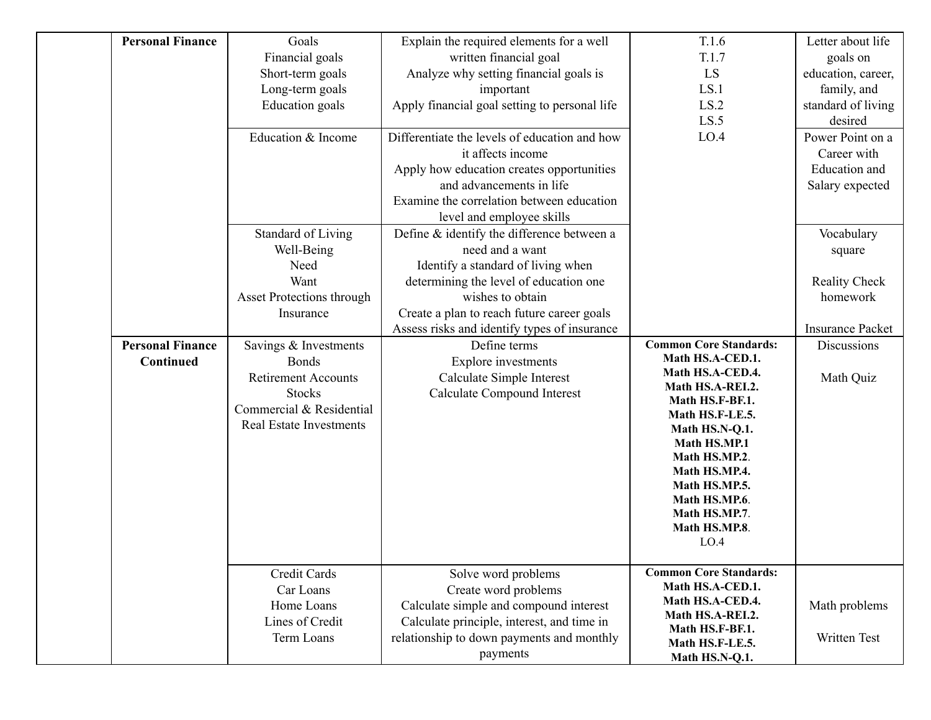| <b>Personal Finance</b> | Goals                          | Explain the required elements for a well      | T.1.6                                | Letter about life       |
|-------------------------|--------------------------------|-----------------------------------------------|--------------------------------------|-------------------------|
|                         | Financial goals                | written financial goal                        | T.1.7                                | goals on                |
|                         | Short-term goals               | Analyze why setting financial goals is        | LS                                   | education, career,      |
|                         | Long-term goals                | important                                     | LS.1                                 | family, and             |
|                         | <b>Education</b> goals         | Apply financial goal setting to personal life | LS.2                                 | standard of living      |
|                         |                                |                                               | LS.5                                 | desired                 |
|                         | Education & Income             | Differentiate the levels of education and how | LO.4                                 | Power Point on a        |
|                         |                                | it affects income                             |                                      | Career with             |
|                         |                                | Apply how education creates opportunities     |                                      | <b>Education</b> and    |
|                         |                                | and advancements in life                      |                                      | Salary expected         |
|                         |                                | Examine the correlation between education     |                                      |                         |
|                         |                                | level and employee skills                     |                                      |                         |
|                         | Standard of Living             | Define & identify the difference between a    |                                      | Vocabulary              |
|                         | Well-Being                     | need and a want                               |                                      | square                  |
|                         | Need                           | Identify a standard of living when            |                                      |                         |
|                         | Want                           | determining the level of education one        |                                      | Reality Check           |
|                         | Asset Protections through      | wishes to obtain                              |                                      | homework                |
|                         | Insurance                      | Create a plan to reach future career goals    |                                      |                         |
|                         |                                | Assess risks and identify types of insurance  |                                      | <b>Insurance Packet</b> |
| <b>Personal Finance</b> | Savings & Investments          | Define terms                                  | <b>Common Core Standards:</b>        | Discussions             |
| Continued               | <b>Bonds</b>                   | Explore investments                           | Math HS.A-CED.1.<br>Math HS.A-CED.4. |                         |
|                         | <b>Retirement Accounts</b>     | Calculate Simple Interest                     | Math HS.A-REI.2.                     | Math Quiz               |
|                         | <b>Stocks</b>                  | Calculate Compound Interest                   | Math HS.F-BF.1.                      |                         |
|                         | Commercial & Residential       |                                               | Math HS.F-LE.5.                      |                         |
|                         | <b>Real Estate Investments</b> |                                               | Math HS.N-Q.1.                       |                         |
|                         |                                |                                               | Math HS.MP.1                         |                         |
|                         |                                |                                               | Math HS.MP.2.                        |                         |
|                         |                                |                                               | Math HS.MP.4.                        |                         |
|                         |                                |                                               | Math HS.MP.5.<br>Math HS.MP.6.       |                         |
|                         |                                |                                               | Math HS.MP.7.                        |                         |
|                         |                                |                                               | Math HS.MP.8.                        |                         |
|                         |                                |                                               | LO.4                                 |                         |
|                         |                                |                                               |                                      |                         |
|                         | Credit Cards                   | Solve word problems                           | <b>Common Core Standards:</b>        |                         |
|                         | Car Loans                      | Create word problems                          | Math HS.A-CED.1.                     |                         |
|                         | Home Loans                     | Calculate simple and compound interest        | Math HS.A-CED.4.<br>Math HS.A-REI.2. | Math problems           |
|                         | Lines of Credit                | Calculate principle, interest, and time in    | Math HS.F-BF.1.                      |                         |
|                         | Term Loans                     | relationship to down payments and monthly     | Math HS.F-LE.5.                      | Written Test            |
|                         |                                | payments                                      | Math HS.N-Q.1.                       |                         |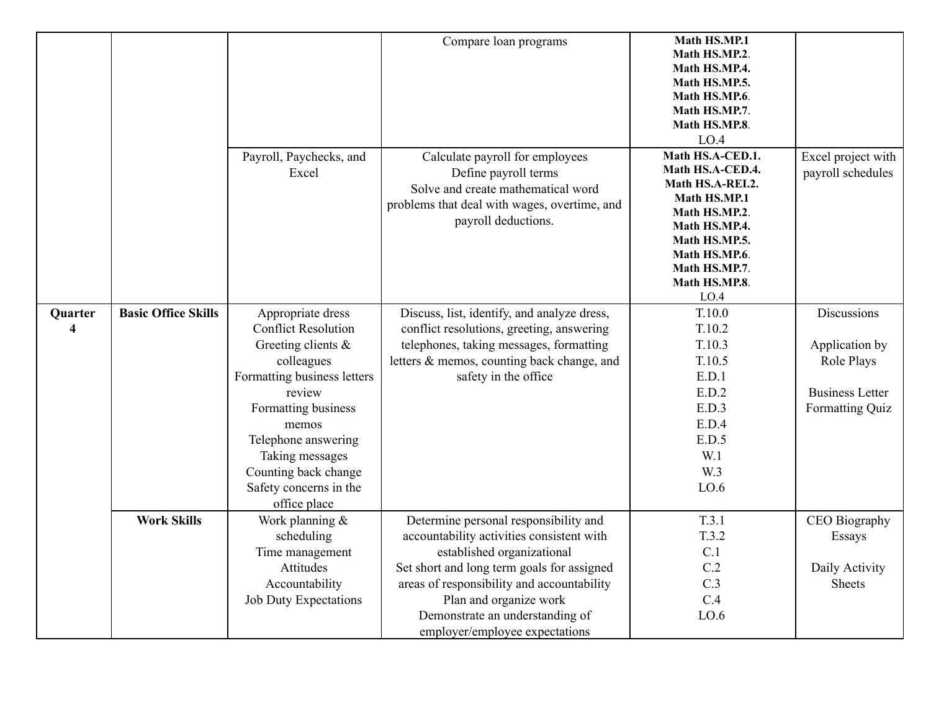|                |                            |                                  | Compare loan programs                                                                                                                                                | Math HS.MP.1<br>Math HS.MP.2.<br>Math HS.MP.4.<br>Math HS.MP.5.<br>Math HS.MP.6.<br>Math HS.MP.7.<br>Math HS.MP.8.<br>LO.4                                                             |                                         |
|----------------|----------------------------|----------------------------------|----------------------------------------------------------------------------------------------------------------------------------------------------------------------|----------------------------------------------------------------------------------------------------------------------------------------------------------------------------------------|-----------------------------------------|
|                |                            | Payroll, Paychecks, and<br>Excel | Calculate payroll for employees<br>Define payroll terms<br>Solve and create mathematical word<br>problems that deal with wages, overtime, and<br>payroll deductions. | Math HS.A-CED.1.<br>Math HS.A-CED.4.<br>Math HS.A-REI.2.<br>Math HS.MP.1<br>Math HS.MP.2.<br>Math HS.MP.4.<br>Math HS.MP.5.<br>Math HS.MP.6.<br>Math HS.MP.7.<br>Math HS.MP.8.<br>LO.4 | Excel project with<br>payroll schedules |
| <b>Quarter</b> | <b>Basic Office Skills</b> | Appropriate dress                | Discuss, list, identify, and analyze dress,                                                                                                                          | T.10.0                                                                                                                                                                                 | Discussions                             |
| 4              |                            | <b>Conflict Resolution</b>       | conflict resolutions, greeting, answering                                                                                                                            | T.10.2                                                                                                                                                                                 |                                         |
|                |                            | Greeting clients &<br>colleagues | telephones, taking messages, formatting<br>letters & memos, counting back change, and                                                                                | T.10.3<br>T.10.5                                                                                                                                                                       | Application by<br>Role Plays            |
|                |                            | Formatting business letters      | safety in the office                                                                                                                                                 | E.D.1                                                                                                                                                                                  |                                         |
|                |                            | review                           |                                                                                                                                                                      | E.D.2                                                                                                                                                                                  | <b>Business Letter</b>                  |
|                |                            | Formatting business              |                                                                                                                                                                      | E.D.3                                                                                                                                                                                  | Formatting Quiz                         |
|                |                            | memos                            |                                                                                                                                                                      | E.D.4                                                                                                                                                                                  |                                         |
|                |                            | Telephone answering              |                                                                                                                                                                      | E.D.5                                                                                                                                                                                  |                                         |
|                |                            | Taking messages                  |                                                                                                                                                                      | W.1                                                                                                                                                                                    |                                         |
|                |                            | Counting back change             |                                                                                                                                                                      | W.3                                                                                                                                                                                    |                                         |
|                |                            | Safety concerns in the           |                                                                                                                                                                      | LO.6                                                                                                                                                                                   |                                         |
|                |                            | office place                     |                                                                                                                                                                      |                                                                                                                                                                                        |                                         |
|                | <b>Work Skills</b>         | Work planning &                  | Determine personal responsibility and                                                                                                                                | T.3.1                                                                                                                                                                                  | CEO Biography                           |
|                |                            | scheduling                       | accountability activities consistent with                                                                                                                            | T.3.2                                                                                                                                                                                  | Essays                                  |
|                |                            | Time management                  | established organizational                                                                                                                                           | C.1                                                                                                                                                                                    |                                         |
|                |                            | Attitudes                        | Set short and long term goals for assigned                                                                                                                           | C.2                                                                                                                                                                                    | Daily Activity                          |
|                |                            | Accountability                   | areas of responsibility and accountability                                                                                                                           | C.3                                                                                                                                                                                    | Sheets                                  |
|                |                            | <b>Job Duty Expectations</b>     | Plan and organize work                                                                                                                                               | C.4                                                                                                                                                                                    |                                         |
|                |                            |                                  | Demonstrate an understanding of                                                                                                                                      | LO.6                                                                                                                                                                                   |                                         |
|                |                            |                                  | employer/employee expectations                                                                                                                                       |                                                                                                                                                                                        |                                         |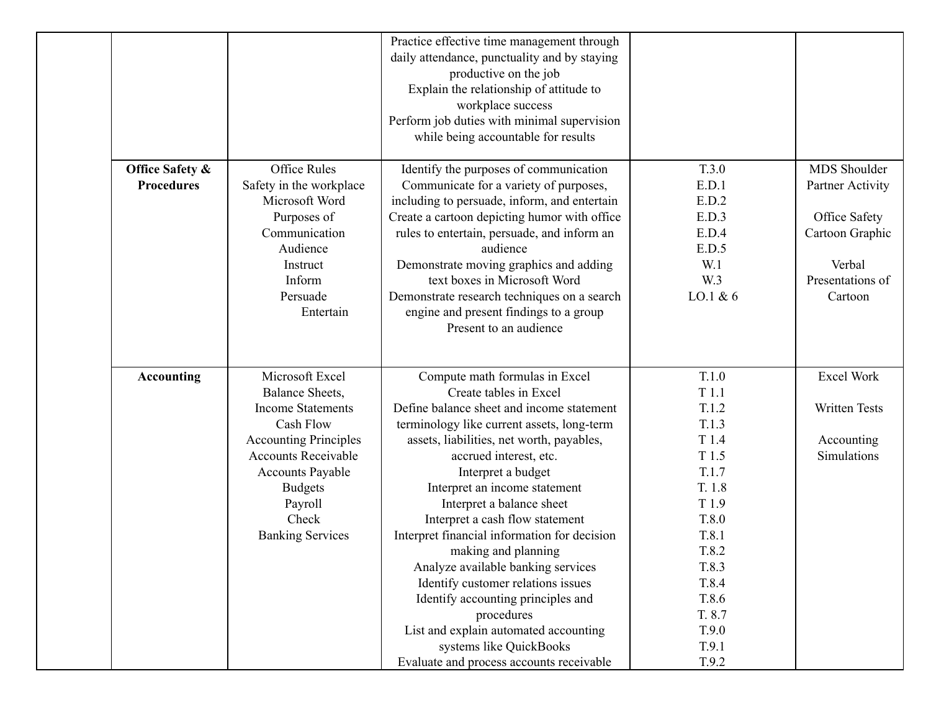|                                      |                                                                                                                                                                                                                                       | Practice effective time management through<br>daily attendance, punctuality and by staying<br>productive on the job<br>Explain the relationship of attitude to<br>workplace success<br>Perform job duties with minimal supervision<br>while being accountable for results                                                                                                                                                                                                                                                                                                                         |                                                                                                                                                         |                                                                                                               |
|--------------------------------------|---------------------------------------------------------------------------------------------------------------------------------------------------------------------------------------------------------------------------------------|---------------------------------------------------------------------------------------------------------------------------------------------------------------------------------------------------------------------------------------------------------------------------------------------------------------------------------------------------------------------------------------------------------------------------------------------------------------------------------------------------------------------------------------------------------------------------------------------------|---------------------------------------------------------------------------------------------------------------------------------------------------------|---------------------------------------------------------------------------------------------------------------|
| Office Safety &<br><b>Procedures</b> | <b>Office Rules</b><br>Safety in the workplace<br>Microsoft Word<br>Purposes of<br>Communication<br>Audience<br>Instruct<br>Inform<br>Persuade<br>Entertain                                                                           | Identify the purposes of communication<br>Communicate for a variety of purposes,<br>including to persuade, inform, and entertain<br>Create a cartoon depicting humor with office<br>rules to entertain, persuade, and inform an<br>audience<br>Demonstrate moving graphics and adding<br>text boxes in Microsoft Word<br>Demonstrate research techniques on a search<br>engine and present findings to a group<br>Present to an audience                                                                                                                                                          | T.3.0<br>E.D.1<br>E.D.2<br>E.D.3<br>E.D.4<br>E.D.5<br>W <sub>1</sub><br>W <sub>3</sub><br>LO.1 & $6$                                                    | MDS Shoulder<br>Partner Activity<br>Office Safety<br>Cartoon Graphic<br>Verbal<br>Presentations of<br>Cartoon |
| <b>Accounting</b>                    | Microsoft Excel<br>Balance Sheets,<br><b>Income Statements</b><br>Cash Flow<br><b>Accounting Principles</b><br><b>Accounts Receivable</b><br><b>Accounts Payable</b><br><b>Budgets</b><br>Payroll<br>Check<br><b>Banking Services</b> | Compute math formulas in Excel<br>Create tables in Excel<br>Define balance sheet and income statement<br>terminology like current assets, long-term<br>assets, liabilities, net worth, payables,<br>accrued interest, etc.<br>Interpret a budget<br>Interpret an income statement<br>Interpret a balance sheet<br>Interpret a cash flow statement<br>Interpret financial information for decision<br>making and planning<br>Analyze available banking services<br>Identify customer relations issues<br>Identify accounting principles and<br>procedures<br>List and explain automated accounting | T.1.0<br>T 1.1<br>T.1.2<br>T.1.3<br>T 1.4<br>T 1.5<br>T.1.7<br>T. 1.8<br>T 1.9<br>T.8.0<br>T.8.1<br>T.8.2<br>T.8.3<br>T.8.4<br>T.8.6<br>T. 8.7<br>T.9.0 | <b>Excel Work</b><br><b>Written Tests</b><br>Accounting<br>Simulations                                        |
|                                      |                                                                                                                                                                                                                                       | systems like QuickBooks<br>Evaluate and process accounts receivable                                                                                                                                                                                                                                                                                                                                                                                                                                                                                                                               | T.9.1<br>T.9.2                                                                                                                                          |                                                                                                               |